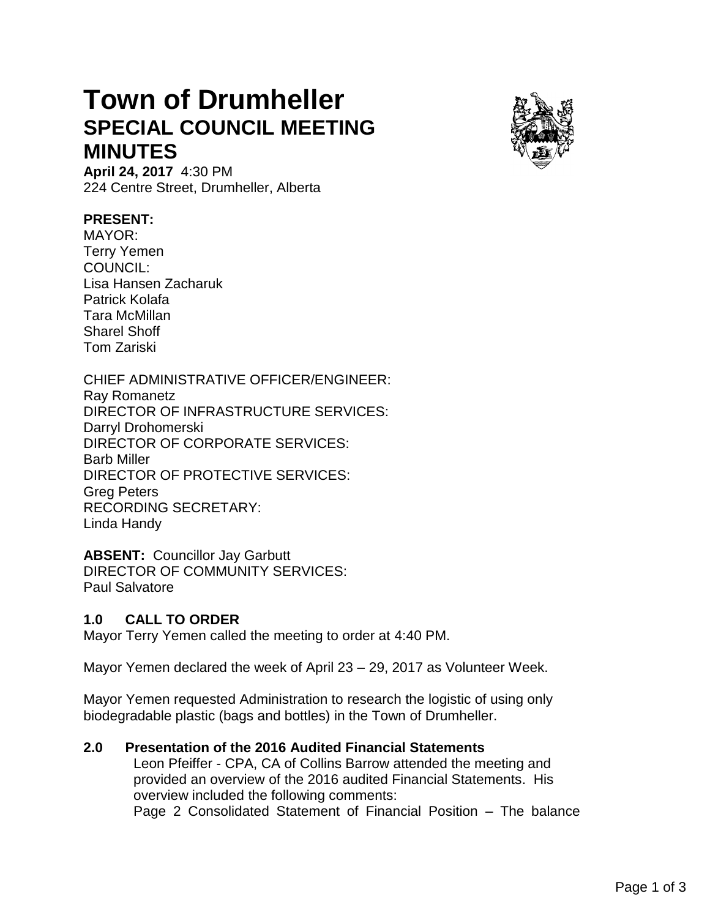## **Town of Drumheller SPECIAL COUNCIL MEETING MINUTES**



**April 24, 2017** 4:30 PM 224 Centre Street, Drumheller, Alberta

## **PRESENT:**

MAYOR: Terry Yemen COUNCIL: Lisa Hansen Zacharuk Patrick Kolafa Tara McMillan Sharel Shoff Tom Zariski

CHIEF ADMINISTRATIVE OFFICER/ENGINEER: Ray Romanetz DIRECTOR OF INFRASTRUCTURE SERVICES: Darryl Drohomerski DIRECTOR OF CORPORATE SERVICES: Barb Miller DIRECTOR OF PROTECTIVE SERVICES: Greg Peters RECORDING SECRETARY: Linda Handy

**ABSENT:** Councillor Jay Garbutt DIRECTOR OF COMMUNITY SERVICES: Paul Salvatore

## **1.0 CALL TO ORDER**

Mayor Terry Yemen called the meeting to order at 4:40 PM.

Mayor Yemen declared the week of April 23 – 29, 2017 as Volunteer Week.

Mayor Yemen requested Administration to research the logistic of using only biodegradable plastic (bags and bottles) in the Town of Drumheller.

## **2.0 Presentation of the 2016 Audited Financial Statements**

Leon Pfeiffer - CPA, CA of Collins Barrow attended the meeting and provided an overview of the 2016 audited Financial Statements. His overview included the following comments:

Page 2 Consolidated Statement of Financial Position – The balance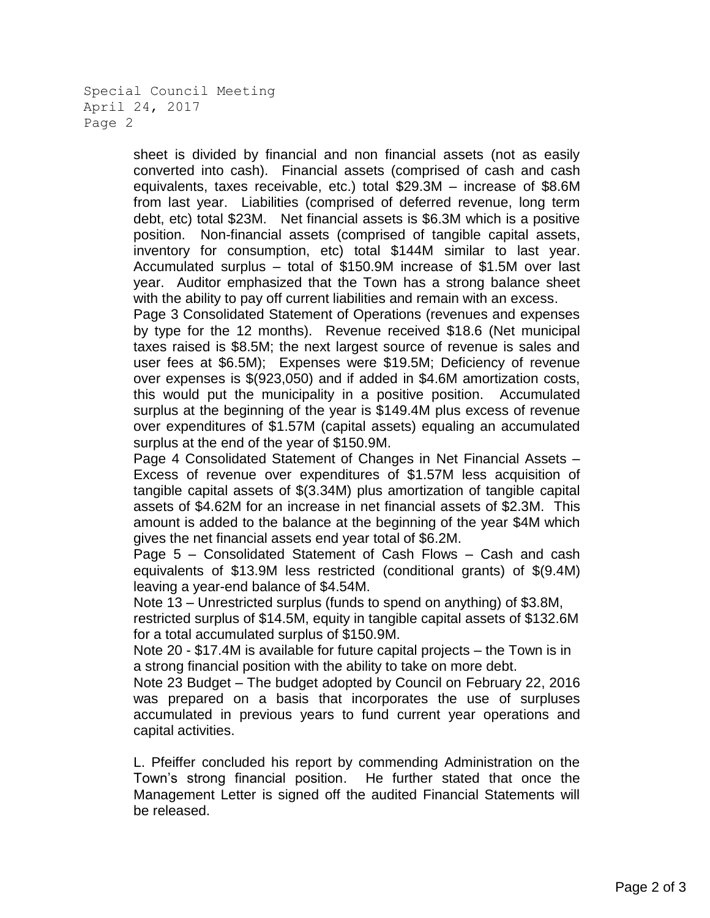```
Special Council Meeting
April 24, 2017
Page 2
```
sheet is divided by financial and non financial assets (not as easily converted into cash). Financial assets (comprised of cash and cash equivalents, taxes receivable, etc.) total \$29.3M – increase of \$8.6M from last year. Liabilities (comprised of deferred revenue, long term debt, etc) total \$23M. Net financial assets is \$6.3M which is a positive position. Non-financial assets (comprised of tangible capital assets, inventory for consumption, etc) total \$144M similar to last year. Accumulated surplus – total of \$150.9M increase of \$1.5M over last year. Auditor emphasized that the Town has a strong balance sheet with the ability to pay off current liabilities and remain with an excess.

Page 3 Consolidated Statement of Operations (revenues and expenses by type for the 12 months). Revenue received \$18.6 (Net municipal taxes raised is \$8.5M; the next largest source of revenue is sales and user fees at \$6.5M); Expenses were \$19.5M; Deficiency of revenue over expenses is \$(923,050) and if added in \$4.6M amortization costs, this would put the municipality in a positive position. Accumulated surplus at the beginning of the year is \$149.4M plus excess of revenue over expenditures of \$1.57M (capital assets) equaling an accumulated surplus at the end of the year of \$150.9M.

Page 4 Consolidated Statement of Changes in Net Financial Assets – Excess of revenue over expenditures of \$1.57M less acquisition of tangible capital assets of \$(3.34M) plus amortization of tangible capital assets of \$4.62M for an increase in net financial assets of \$2.3M. This amount is added to the balance at the beginning of the year \$4M which gives the net financial assets end year total of \$6.2M.

Page 5 – Consolidated Statement of Cash Flows – Cash and cash equivalents of \$13.9M less restricted (conditional grants) of \$(9.4M) leaving a year-end balance of \$4.54M.

Note 13 – Unrestricted surplus (funds to spend on anything) of \$3.8M,

restricted surplus of \$14.5M, equity in tangible capital assets of \$132.6M for a total accumulated surplus of \$150.9M.

Note 20 - \$17.4M is available for future capital projects – the Town is in a strong financial position with the ability to take on more debt.

Note 23 Budget – The budget adopted by Council on February 22, 2016 was prepared on a basis that incorporates the use of surpluses accumulated in previous years to fund current year operations and capital activities.

L. Pfeiffer concluded his report by commending Administration on the Town's strong financial position. He further stated that once the Management Letter is signed off the audited Financial Statements will be released.